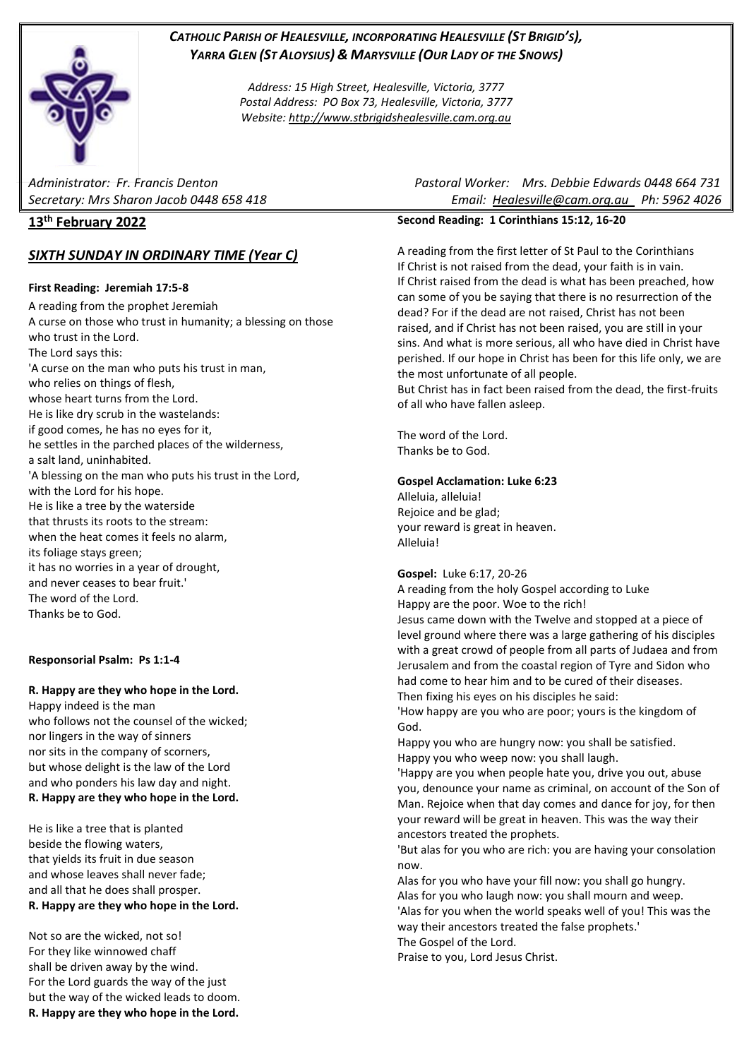## *CATHOLIC PARISH OF HEALESVILLE, INCORPORATING HEALESVILLE (ST BRIGID'S), YARRA GLEN (ST ALOYSIUS) & MARYSVILLE (OUR LADY OF THE SNOWS)*

*Address: 15 High Street, Healesville, Victoria, 3777 Postal Address: PO Box 73, Healesville, Victoria, 3777 Website: [http://www.stbrigidshealesville.cam.org.au](http://www.stbrigidshealesville.cam.org.au/)*

## **13th February 2022**

## *SIXTH SUNDAY IN ORDINARY TIME (Year C)*

## **First Reading: Jeremiah 17:5-8**

A reading from the prophet Jeremiah A curse on those who trust in humanity; a blessing on those who trust in the Lord. The Lord says this: 'A curse on the man who puts his trust in man, who relies on things of flesh, whose heart turns from the Lord. He is like dry scrub in the wastelands: if good comes, he has no eyes for it, he settles in the parched places of the wilderness, a salt land, uninhabited. 'A blessing on the man who puts his trust in the Lord, with the Lord for his hope. He is like a tree by the waterside that thrusts its roots to the stream: when the heat comes it feels no alarm, its foliage stays green; it has no worries in a year of drought, and never ceases to bear fruit.' The word of the Lord. Thanks be to God.

## **Responsorial Psalm: Ps 1:1-4**

## **R. Happy are they who hope in the Lord.**

Happy indeed is the man who follows not the counsel of the wicked; nor lingers in the way of sinners nor sits in the company of scorners, but whose delight is the law of the Lord and who ponders his law day and night. **R. Happy are they who hope in the Lord.**

He is like a tree that is planted beside the flowing waters, that yields its fruit in due season and whose leaves shall never fade; and all that he does shall prosper. **R. Happy are they who hope in the Lord.**

Not so are the wicked, not so! For they like winnowed chaff shall be driven away by the wind. For the Lord guards the way of the just but the way of the wicked leads to doom. **R. Happy are they who hope in the Lord.**

*Administrator: Fr. Francis Denton Pastoral Worker: Mrs. Debbie Edwards 0448 664 731 Secretary: Mrs Sharon Jacob 0448 658 418 Email: [Healesville@cam.org.au](mailto:Healesville@cam.org.au) Ph: 5962 4026* 

## **Second Reading: 1 Corinthians 15:12, 16-20**

A reading from the first letter of St Paul to the Corinthians If Christ is not raised from the dead, your faith is in vain. If Christ raised from the dead is what has been preached, how can some of you be saying that there is no resurrection of the dead? For if the dead are not raised, Christ has not been raised, and if Christ has not been raised, you are still in your sins. And what is more serious, all who have died in Christ have perished. If our hope in Christ has been for this life only, we are the most unfortunate of all people.

But Christ has in fact been raised from the dead, the first-fruits of all who have fallen asleep.

The word of the Lord. Thanks be to God.

### **Gospel Acclamation: Luke 6:23**

Alleluia, alleluia! Rejoice and be glad; your reward is great in heaven. Alleluia!

**Gospel:** Luke 6:17, 20-26

A reading from the holy Gospel according to Luke Happy are the poor. Woe to the rich! Jesus came down with the Twelve and stopped at a piece of level ground where there was a large gathering of his disciples with a great crowd of people from all parts of Judaea and from Jerusalem and from the coastal region of Tyre and Sidon who had come to hear him and to be cured of their diseases. Then fixing his eyes on his disciples he said:

'How happy are you who are poor; yours is the kingdom of God.

Happy you who are hungry now: you shall be satisfied. Happy you who weep now: you shall laugh.

'Happy are you when people hate you, drive you out, abuse you, denounce your name as criminal, on account of the Son of Man. Rejoice when that day comes and dance for joy, for then your reward will be great in heaven. This was the way their ancestors treated the prophets.

'But alas for you who are rich: you are having your consolation now.

Alas for you who have your fill now: you shall go hungry. Alas for you who laugh now: you shall mourn and weep.

'Alas for you when the world speaks well of you! This was the way their ancestors treated the false prophets.' The Gospel of the Lord.

Praise to you, Lord Jesus Christ.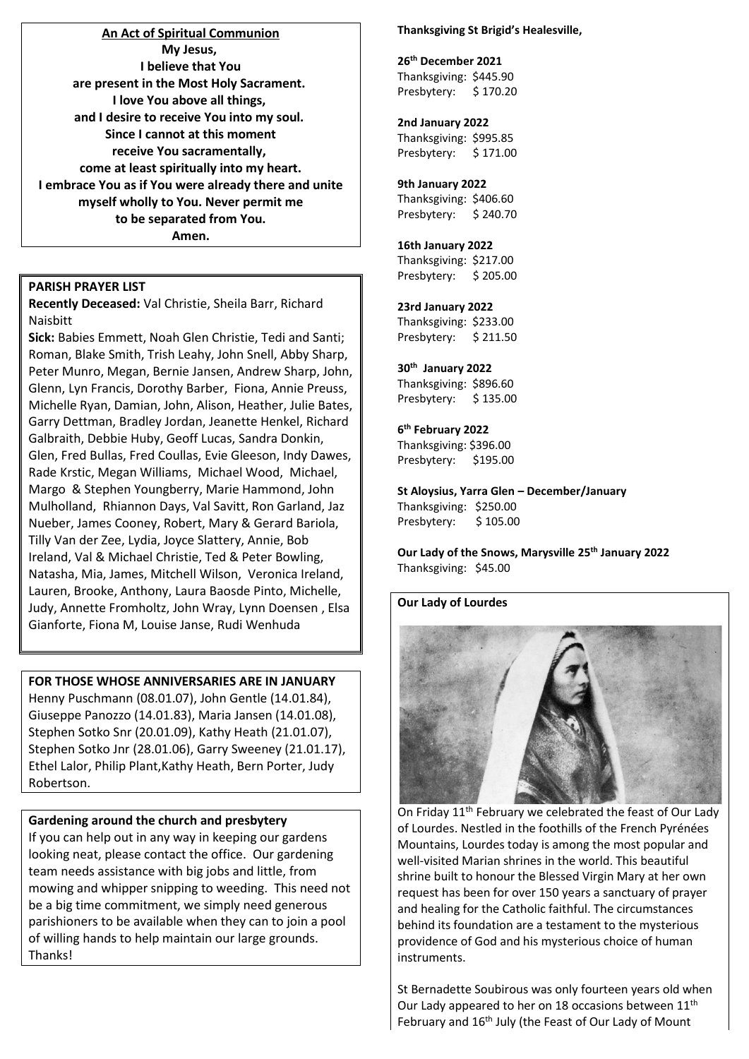**An Act of Spiritual Communion My Jesus, I believe that You are present in the Most Holy Sacrament. I love You above all things, and I desire to receive You into my soul. Since I cannot at this moment receive You sacramentally, come at least spiritually into my heart. I embrace You as if You were already there and unite myself wholly to You. Never permit me to be separated from You. Amen.**

### **PARISH PRAYER LIST**

**Recently Deceased:** Val Christie, Sheila Barr, Richard Naisbitt

**Sick:** Babies Emmett, Noah Glen Christie, Tedi and Santi; Roman, Blake Smith, Trish Leahy, John Snell, Abby Sharp, Peter Munro, Megan, Bernie Jansen, Andrew Sharp, John, Glenn, Lyn Francis, Dorothy Barber, Fiona, Annie Preuss, Michelle Ryan, Damian, John, Alison, Heather, Julie Bates, Garry Dettman, Bradley Jordan, Jeanette Henkel, Richard Galbraith, Debbie Huby, Geoff Lucas, Sandra Donkin, Glen, Fred Bullas, Fred Coullas, Evie Gleeson, Indy Dawes, Rade Krstic, Megan Williams, Michael Wood, Michael, Margo & Stephen Youngberry, Marie Hammond, John Mulholland, Rhiannon Days, Val Savitt, Ron Garland, Jaz Nueber, James Cooney, Robert, Mary & Gerard Bariola, Tilly Van der Zee, Lydia, Joyce Slattery, Annie, Bob Ireland, Val & Michael Christie, Ted & Peter Bowling, Natasha, Mia, James, Mitchell Wilson, Veronica Ireland, Lauren, Brooke, Anthony, Laura Baosde Pinto, Michelle, Judy, Annette Fromholtz, John Wray, Lynn Doensen , Elsa Gianforte, Fiona M, Louise Janse, Rudi Wenhuda

### **FOR THOSE WHOSE ANNIVERSARIES ARE IN JANUARY**

Henny Puschmann (08.01.07), John Gentle (14.01.84), Giuseppe Panozzo (14.01.83), Maria Jansen (14.01.08), Stephen Sotko Snr (20.01.09), Kathy Heath (21.01.07), Stephen Sotko Jnr (28.01.06), Garry Sweeney (21.01.17), Ethel Lalor, Philip Plant,Kathy Heath, Bern Porter, Judy Robertson.

### **Gardening around the church and presbytery**

If you can help out in any way in keeping our gardens looking neat, please contact the office. Our gardening team needs assistance with big jobs and little, from mowing and whipper snipping to weeding. This need not be a big time commitment, we simply need generous parishioners to be available when they can to join a pool of willing hands to help maintain our large grounds. Thanks!

#### **Thanksgiving St Brigid's Healesville,**

### **26th December 2021**

Thanksgiving: \$445.90 Presbytery: \$170.20

#### **2nd January 2022**

Thanksgiving: \$995.85 Presbytery: \$ 171.00

#### **9th January 2022**

Thanksgiving: \$406.60 Presbytery: \$ 240.70

#### **16th January 2022**

Thanksgiving: \$217.00 Presbytery: \$205.00

#### **23rd January 2022**

Thanksgiving: \$233.00 Presbytery: \$211.50

### **30th January 2022**

Thanksgiving: \$896.60 Presbytery: \$ 135.00

## **6 th February 2022**

Thanksgiving: \$396.00 Presbytery: \$195.00

### **St Aloysius, Yarra Glen – December/January**  Thanksgiving: \$250.00 Presbytery: \$ 105.00

**Our Lady of the Snows, Marysville 25th January 2022** Thanksgiving: \$45.00

#### **Our Lady of Lourdes**



On Friday 11<sup>th</sup> February we celebrated the feast of Our Lady of Lourdes. Nestled in the foothills of the French Pyrénées Mountains, Lourdes today is among the most popular and well-visited Marian shrines in the world. This beautiful shrine built to honour the Blessed Virgin Mary at her own request has been for over 150 years a sanctuary of prayer and healing for the Catholic faithful. The circumstances behind its foundation are a testament to the mysterious providence of God and his mysterious choice of human instruments.

St Bernadette Soubirous was only fourteen years old when Our Lady appeared to her on 18 occasions between 11<sup>th</sup> February and 16<sup>th</sup> July (the Feast of Our Lady of Mount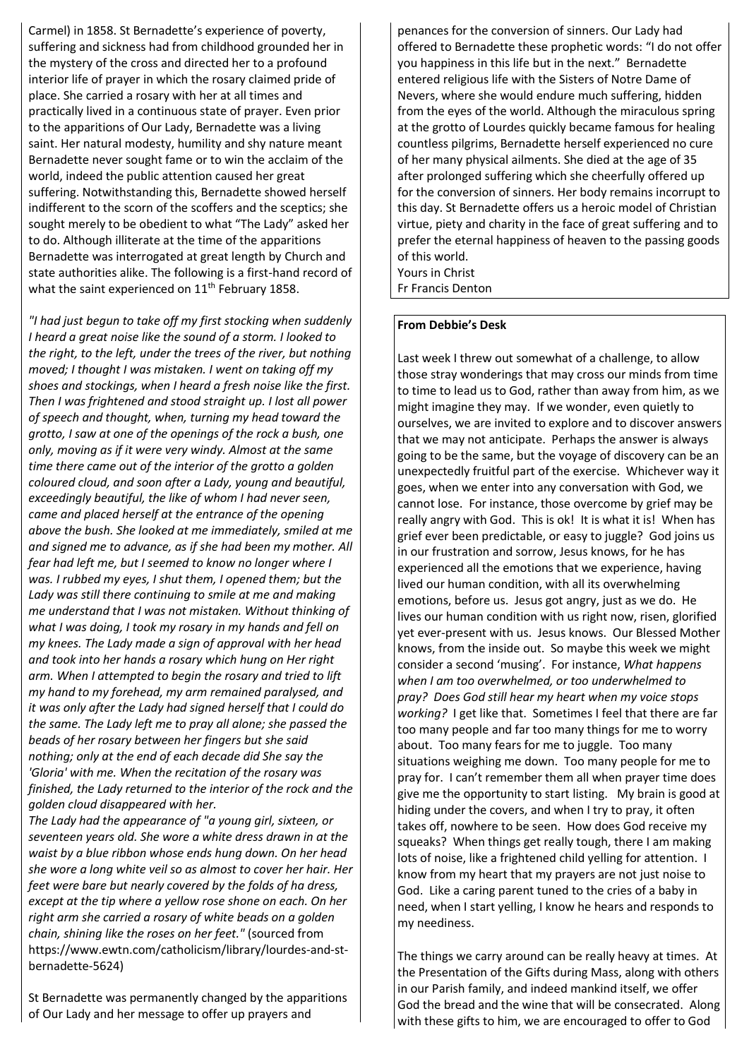Carmel) in 1858. St Bernadette's experience of poverty, suffering and sickness had from childhood grounded her in the mystery of the cross and directed her to a profound interior life of prayer in which the rosary claimed pride of place. She carried a rosary with her at all times and practically lived in a continuous state of prayer. Even prior to the apparitions of Our Lady, Bernadette was a living saint. Her natural modesty, humility and shy nature meant Bernadette never sought fame or to win the acclaim of the world, indeed the public attention caused her great suffering. Notwithstanding this, Bernadette showed herself indifferent to the scorn of the scoffers and the sceptics; she sought merely to be obedient to what "The Lady" asked her to do. Although illiterate at the time of the apparitions Bernadette was interrogated at great length by Church and state authorities alike. The following is a first-hand record of what the saint experienced on  $11<sup>th</sup>$  February 1858.

*"I had just begun to take off my first stocking when suddenly I heard a great noise like the sound of a storm. I looked to the right, to the left, under the trees of the river, but nothing moved; I thought I was mistaken. I went on taking off my shoes and stockings, when I heard a fresh noise like the first. Then I was frightened and stood straight up. I lost all power of speech and thought, when, turning my head toward the grotto, I saw at one of the openings of the rock a bush, one only, moving as if it were very windy. Almost at the same time there came out of the interior of the grotto a golden coloured cloud, and soon after a Lady, young and beautiful, exceedingly beautiful, the like of whom I had never seen, came and placed herself at the entrance of the opening above the bush. She looked at me immediately, smiled at me and signed me to advance, as if she had been my mother. All fear had left me, but I seemed to know no longer where I was. I rubbed my eyes, I shut them, I opened them; but the Lady was still there continuing to smile at me and making me understand that I was not mistaken. Without thinking of what I was doing, I took my rosary in my hands and fell on my knees. The Lady made a sign of approval with her head and took into her hands a rosary which hung on Her right arm. When I attempted to begin the rosary and tried to lift my hand to my forehead, my arm remained paralysed, and it was only after the Lady had signed herself that I could do the same. The Lady left me to pray all alone; she passed the beads of her rosary between her fingers but she said nothing; only at the end of each decade did She say the 'Gloria' with me. When the recitation of the rosary was finished, the Lady returned to the interior of the rock and the golden cloud disappeared with her.*

*The Lady had the appearance of "a young girl, sixteen, or seventeen years old. She wore a white dress drawn in at the waist by a blue ribbon whose ends hung down. On her head she wore a long white veil so as almost to cover her hair. Her feet were bare but nearly covered by the folds of ha dress, except at the tip where a yellow rose shone on each. On her right arm she carried a rosary of white beads on a golden chain, shining like the roses on her feet."* (sourced from https://www.ewtn.com/catholicism/library/lourdes-and-stbernadette-5624)

St Bernadette was permanently changed by the apparitions of Our Lady and her message to offer up prayers and

penances for the conversion of sinners. Our Lady had offered to Bernadette these prophetic words: "I do not offer you happiness in this life but in the next." Bernadette entered religious life with the Sisters of Notre Dame of Nevers, where she would endure much suffering, hidden from the eyes of the world. Although the miraculous spring at the grotto of Lourdes quickly became famous for healing countless pilgrims, Bernadette herself experienced no cure of her many physical ailments. She died at the age of 35 after prolonged suffering which she cheerfully offered up for the conversion of sinners. Her body remains incorrupt to this day. St Bernadette offers us a heroic model of Christian virtue, piety and charity in the face of great suffering and to prefer the eternal happiness of heaven to the passing goods of this world. Yours in Christ

Fr Francis Denton

### **From Debbie's Desk**

Last week I threw out somewhat of a challenge, to allow those stray wonderings that may cross our minds from time to time to lead us to God, rather than away from him, as we might imagine they may. If we wonder, even quietly to ourselves, we are invited to explore and to discover answers that we may not anticipate. Perhaps the answer is always going to be the same, but the voyage of discovery can be an unexpectedly fruitful part of the exercise. Whichever way it goes, when we enter into any conversation with God, we cannot lose. For instance, those overcome by grief may be really angry with God. This is ok! It is what it is! When has grief ever been predictable, or easy to juggle? God joins us in our frustration and sorrow, Jesus knows, for he has experienced all the emotions that we experience, having lived our human condition, with all its overwhelming emotions, before us. Jesus got angry, just as we do. He lives our human condition with us right now, risen, glorified yet ever-present with us. Jesus knows. Our Blessed Mother knows, from the inside out. So maybe this week we might consider a second 'musing'. For instance, *What happens when I am too overwhelmed, or too underwhelmed to pray? Does God still hear my heart when my voice stops working?* I get like that. Sometimes I feel that there are far too many people and far too many things for me to worry about. Too many fears for me to juggle. Too many situations weighing me down. Too many people for me to pray for. I can't remember them all when prayer time does give me the opportunity to start listing. My brain is good at hiding under the covers, and when I try to pray, it often takes off, nowhere to be seen. How does God receive my squeaks? When things get really tough, there I am making lots of noise, like a frightened child yelling for attention. I know from my heart that my prayers are not just noise to God. Like a caring parent tuned to the cries of a baby in need, when I start yelling, I know he hears and responds to my neediness.

The things we carry around can be really heavy at times. At the Presentation of the Gifts during Mass, along with others in our Parish family, and indeed mankind itself, we offer God the bread and the wine that will be consecrated. Along with these gifts to him, we are encouraged to offer to God